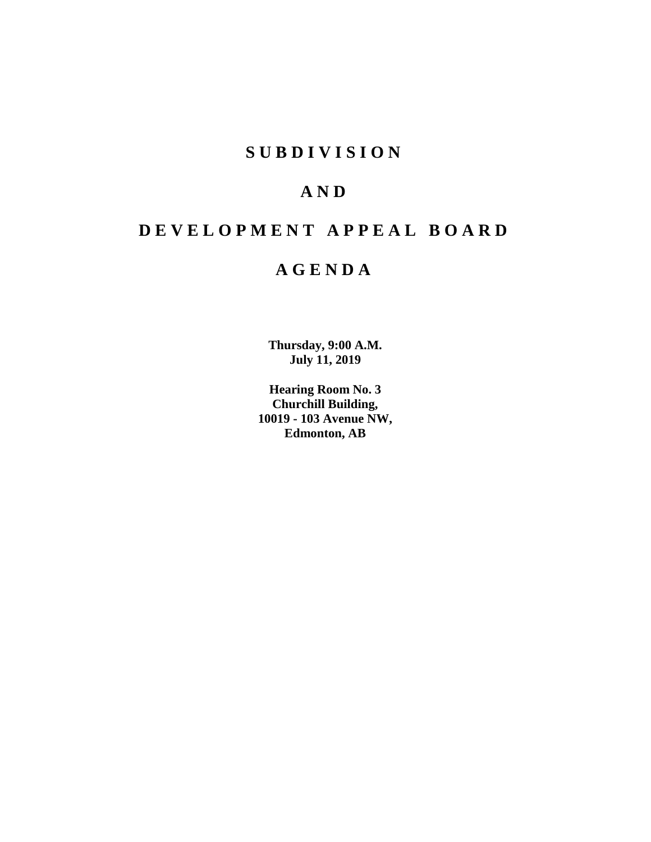# **S U B D I V I S I O N**

# **A N D**

# **D E V E L O P M E N T A P P E A L B O A R D**

# **A G E N D A**

**Thursday, 9:00 A.M. July 11, 2019**

**Hearing Room No. 3 Churchill Building, 10019 - 103 Avenue NW, Edmonton, AB**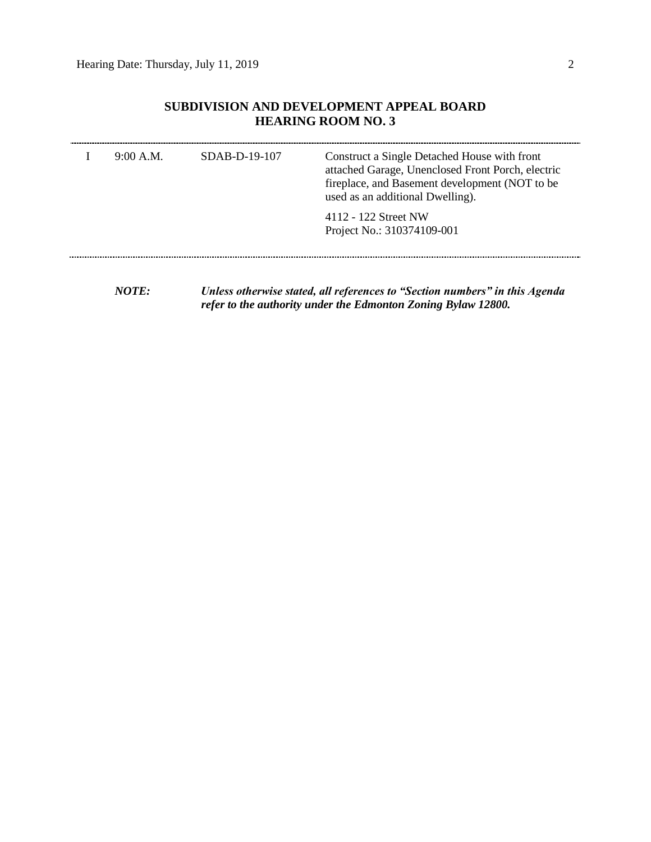## **SUBDIVISION AND DEVELOPMENT APPEAL BOARD HEARING ROOM NO. 3**

| 9:00 A.M.              | $SDAB-D-19-107$ | Construct a Single Detached House with front<br>attached Garage, Unenclosed Front Porch, electric<br>fireplace, and Basement development (NOT to be<br>used as an additional Dwelling). |
|------------------------|-----------------|-----------------------------------------------------------------------------------------------------------------------------------------------------------------------------------------|
|                        |                 | 4112 - 122 Street NW<br>Project No.: 310374109-001                                                                                                                                      |
| $\lambda$ <i>iotic</i> |                 |                                                                                                                                                                                         |

*NOTE: Unless otherwise stated, all references to "Section numbers" in this Agenda refer to the authority under the Edmonton Zoning Bylaw 12800.*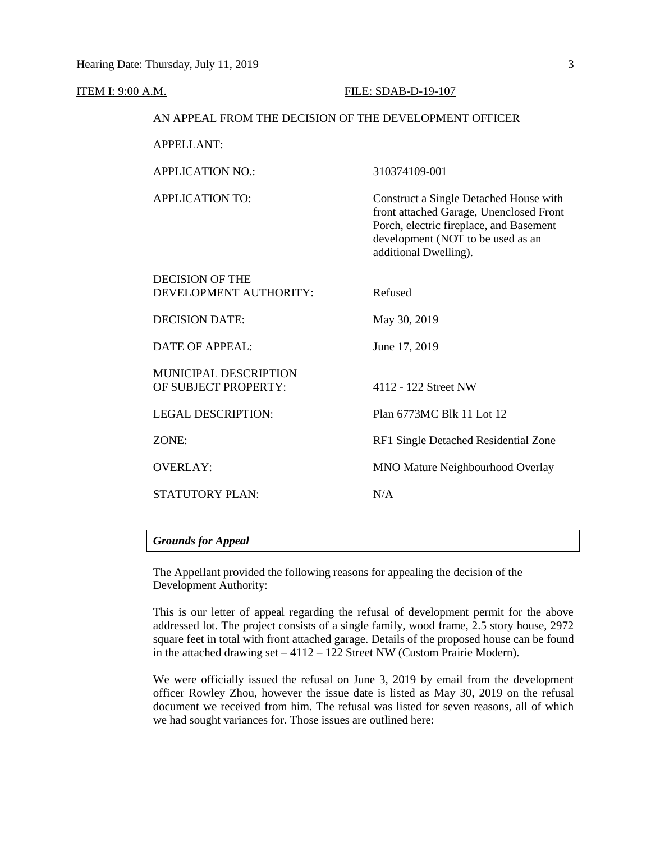#### **ITEM I: 9:00 A.M. FILE: SDAB-D-19-107**

#### AN APPEAL FROM THE DECISION OF THE DEVELOPMENT OFFICER

| <b>APPELLANT:</b>                                    |                                                                                                                                                                                            |
|------------------------------------------------------|--------------------------------------------------------------------------------------------------------------------------------------------------------------------------------------------|
| <b>APPLICATION NO.:</b>                              | 310374109-001                                                                                                                                                                              |
| <b>APPLICATION TO:</b>                               | Construct a Single Detached House with<br>front attached Garage, Unenclosed Front<br>Porch, electric fireplace, and Basement<br>development (NOT to be used as an<br>additional Dwelling). |
| DECISION OF THE<br>DEVELOPMENT AUTHORITY:            | Refused                                                                                                                                                                                    |
| <b>DECISION DATE:</b>                                | May 30, 2019                                                                                                                                                                               |
| <b>DATE OF APPEAL:</b>                               | June 17, 2019                                                                                                                                                                              |
| <b>MUNICIPAL DESCRIPTION</b><br>OF SUBJECT PROPERTY: | 4112 - 122 Street NW                                                                                                                                                                       |
| <b>LEGAL DESCRIPTION:</b>                            | Plan 6773MC Blk 11 Lot 12                                                                                                                                                                  |
| ZONE:                                                | RF1 Single Detached Residential Zone                                                                                                                                                       |
| <b>OVERLAY:</b>                                      | <b>MNO Mature Neighbourhood Overlay</b>                                                                                                                                                    |
| <b>STATUTORY PLAN:</b>                               | N/A                                                                                                                                                                                        |
|                                                      |                                                                                                                                                                                            |

### *Grounds for Appeal*

The Appellant provided the following reasons for appealing the decision of the Development Authority:

This is our letter of appeal regarding the refusal of development permit for the above addressed lot. The project consists of a single family, wood frame, 2.5 story house, 2972 square feet in total with front attached garage. Details of the proposed house can be found in the attached drawing set  $-4112 - 122$  Street NW (Custom Prairie Modern).

We were officially issued the refusal on June 3, 2019 by email from the development officer Rowley Zhou, however the issue date is listed as May 30, 2019 on the refusal document we received from him. The refusal was listed for seven reasons, all of which we had sought variances for. Those issues are outlined here: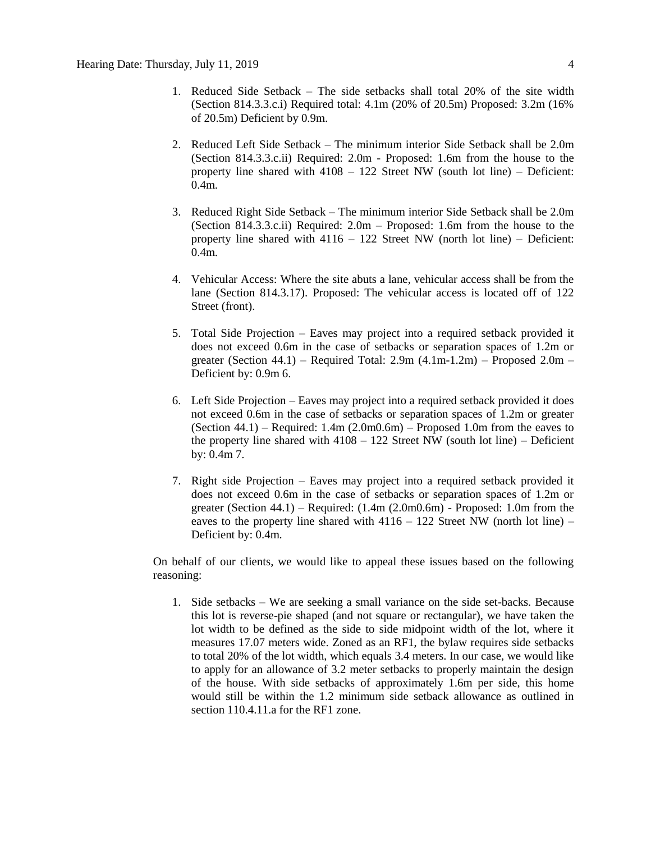- 1. Reduced Side Setback The side setbacks shall total 20% of the site width (Section 814.3.3.c.i) Required total: 4.1m (20% of 20.5m) Proposed: 3.2m (16% of 20.5m) Deficient by 0.9m.
- 2. Reduced Left Side Setback The minimum interior Side Setback shall be 2.0m (Section 814.3.3.c.ii) Required: 2.0m - Proposed: 1.6m from the house to the property line shared with 4108 – 122 Street NW (south lot line) – Deficient: 0.4m.
- 3. Reduced Right Side Setback The minimum interior Side Setback shall be 2.0m (Section 814.3.3.c.ii) Required: 2.0m – Proposed: 1.6m from the house to the property line shared with  $4116 - 122$  Street NW (north lot line) – Deficient: 0.4m.
- 4. Vehicular Access: Where the site abuts a lane, vehicular access shall be from the lane (Section 814.3.17). Proposed: The vehicular access is located off of 122 Street (front).
- 5. Total Side Projection Eaves may project into a required setback provided it does not exceed 0.6m in the case of setbacks or separation spaces of 1.2m or greater (Section 44.1) – Required Total:  $2.9m$  (4.1m-1.2m) – Proposed  $2.0m$  – Deficient by: 0.9m 6.
- 6. Left Side Projection Eaves may project into a required setback provided it does not exceed 0.6m in the case of setbacks or separation spaces of 1.2m or greater (Section  $44.1$ ) – Required: 1.4m  $(2.0 \text{m} 0.6 \text{m})$  – Proposed 1.0m from the eaves to the property line shared with  $4108 - 122$  Street NW (south lot line) – Deficient by: 0.4m 7.
- 7. Right side Projection Eaves may project into a required setback provided it does not exceed 0.6m in the case of setbacks or separation spaces of 1.2m or greater (Section  $44.1$ ) – Required:  $(1.4m (2.0m0.6m)$  - Proposed: 1.0m from the eaves to the property line shared with  $4116 - 122$  Street NW (north lot line) – Deficient by: 0.4m.

On behalf of our clients, we would like to appeal these issues based on the following reasoning:

1. Side setbacks – We are seeking a small variance on the side set-backs. Because this lot is reverse-pie shaped (and not square or rectangular), we have taken the lot width to be defined as the side to side midpoint width of the lot, where it measures 17.07 meters wide. Zoned as an RF1, the bylaw requires side setbacks to total 20% of the lot width, which equals 3.4 meters. In our case, we would like to apply for an allowance of 3.2 meter setbacks to properly maintain the design of the house. With side setbacks of approximately 1.6m per side, this home would still be within the 1.2 minimum side setback allowance as outlined in section 110.4.11.a for the RF1 zone.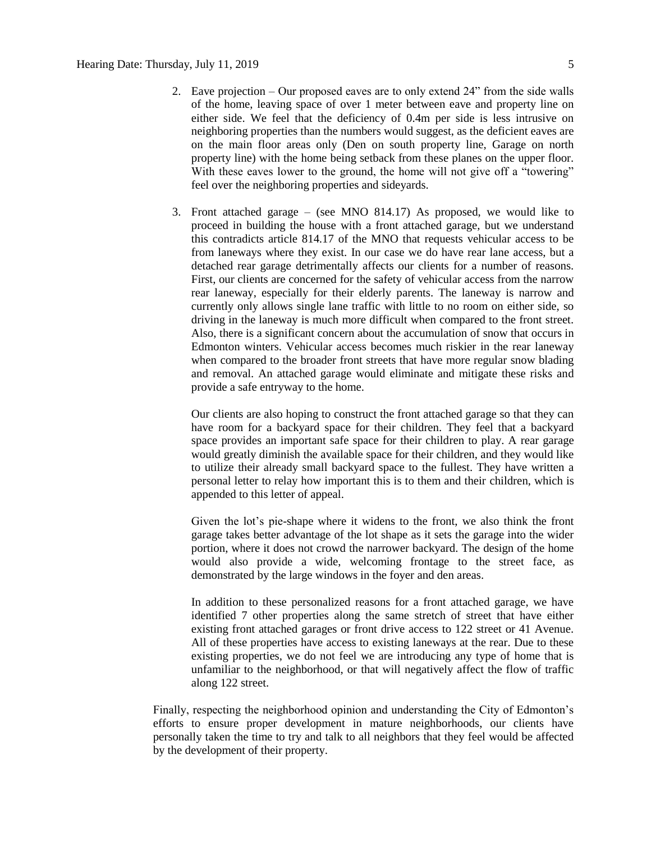- 2. Eave projection Our proposed eaves are to only extend 24" from the side walls of the home, leaving space of over 1 meter between eave and property line on either side. We feel that the deficiency of 0.4m per side is less intrusive on neighboring properties than the numbers would suggest, as the deficient eaves are on the main floor areas only (Den on south property line, Garage on north property line) with the home being setback from these planes on the upper floor. With these eaves lower to the ground, the home will not give off a "towering" feel over the neighboring properties and sideyards.
- 3. Front attached garage (see MNO 814.17) As proposed, we would like to proceed in building the house with a front attached garage, but we understand this contradicts article 814.17 of the MNO that requests vehicular access to be from laneways where they exist. In our case we do have rear lane access, but a detached rear garage detrimentally affects our clients for a number of reasons. First, our clients are concerned for the safety of vehicular access from the narrow rear laneway, especially for their elderly parents. The laneway is narrow and currently only allows single lane traffic with little to no room on either side, so driving in the laneway is much more difficult when compared to the front street. Also, there is a significant concern about the accumulation of snow that occurs in Edmonton winters. Vehicular access becomes much riskier in the rear laneway when compared to the broader front streets that have more regular snow blading and removal. An attached garage would eliminate and mitigate these risks and provide a safe entryway to the home.

Our clients are also hoping to construct the front attached garage so that they can have room for a backyard space for their children. They feel that a backyard space provides an important safe space for their children to play. A rear garage would greatly diminish the available space for their children, and they would like to utilize their already small backyard space to the fullest. They have written a personal letter to relay how important this is to them and their children, which is appended to this letter of appeal.

Given the lot's pie-shape where it widens to the front, we also think the front garage takes better advantage of the lot shape as it sets the garage into the wider portion, where it does not crowd the narrower backyard. The design of the home would also provide a wide, welcoming frontage to the street face, as demonstrated by the large windows in the foyer and den areas.

In addition to these personalized reasons for a front attached garage, we have identified 7 other properties along the same stretch of street that have either existing front attached garages or front drive access to 122 street or 41 Avenue. All of these properties have access to existing laneways at the rear. Due to these existing properties, we do not feel we are introducing any type of home that is unfamiliar to the neighborhood, or that will negatively affect the flow of traffic along 122 street.

Finally, respecting the neighborhood opinion and understanding the City of Edmonton's efforts to ensure proper development in mature neighborhoods, our clients have personally taken the time to try and talk to all neighbors that they feel would be affected by the development of their property.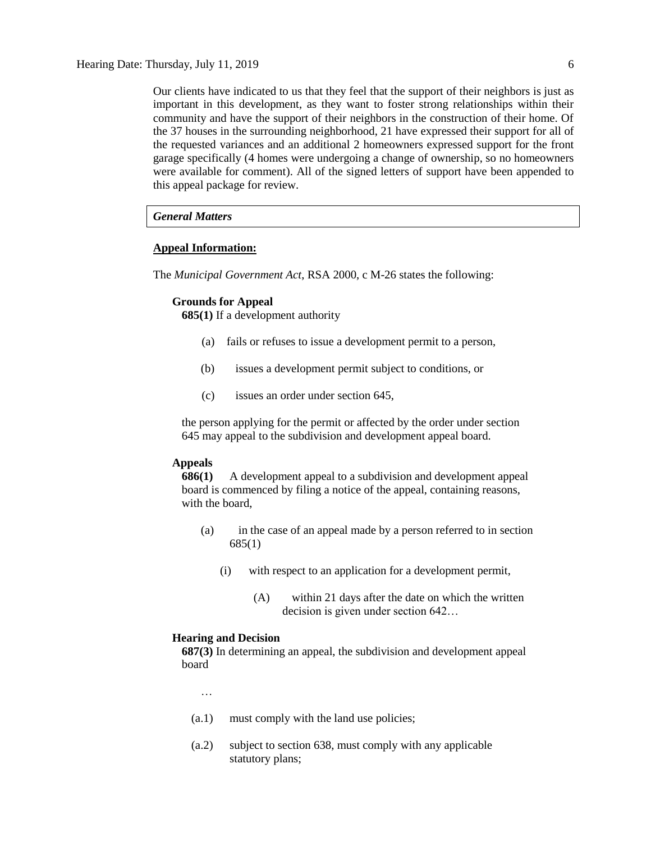Our clients have indicated to us that they feel that the support of their neighbors is just as important in this development, as they want to foster strong relationships within their community and have the support of their neighbors in the construction of their home. Of the 37 houses in the surrounding neighborhood, 21 have expressed their support for all of the requested variances and an additional 2 homeowners expressed support for the front garage specifically (4 homes were undergoing a change of ownership, so no homeowners were available for comment). All of the signed letters of support have been appended to this appeal package for review.

## *General Matters*

#### **Appeal Information:**

The *Municipal Government Act*, RSA 2000, c M-26 states the following:

#### **Grounds for Appeal**

**685(1)** If a development authority

- (a) fails or refuses to issue a development permit to a person,
- (b) issues a development permit subject to conditions, or
- (c) issues an order under section 645,

the person applying for the permit or affected by the order under section 645 may appeal to the subdivision and development appeal board.

### **Appeals**

**686(1)** A development appeal to a subdivision and development appeal board is commenced by filing a notice of the appeal, containing reasons, with the board,

- (a) in the case of an appeal made by a person referred to in section 685(1)
	- (i) with respect to an application for a development permit,
		- (A) within 21 days after the date on which the written decision is given under section 642…

#### **Hearing and Decision**

**687(3)** In determining an appeal, the subdivision and development appeal board

…

- (a.1) must comply with the land use policies;
- (a.2) subject to section 638, must comply with any applicable statutory plans;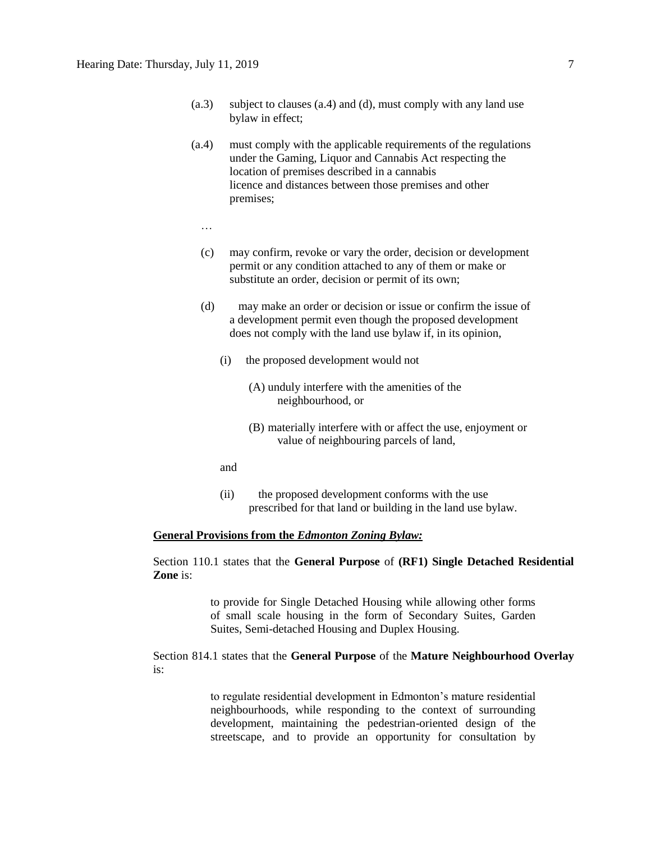- (a.3) subject to clauses (a.4) and (d), must comply with any land use bylaw in effect;
- (a.4) must comply with the applicable requirements of the regulations under the Gaming, Liquor and Cannabis Act respecting the location of premises described in a cannabis licence and distances between those premises and other premises;
	- …
	- (c) may confirm, revoke or vary the order, decision or development permit or any condition attached to any of them or make or substitute an order, decision or permit of its own;
	- (d) may make an order or decision or issue or confirm the issue of a development permit even though the proposed development does not comply with the land use bylaw if, in its opinion,
		- (i) the proposed development would not
			- (A) unduly interfere with the amenities of the neighbourhood, or
			- (B) materially interfere with or affect the use, enjoyment or value of neighbouring parcels of land,
		- and
		- (ii) the proposed development conforms with the use prescribed for that land or building in the land use bylaw.

#### **General Provisions from the** *Edmonton Zoning Bylaw:*

Section 110.1 states that the **General Purpose** of **(RF1) Single Detached Residential Zone** is:

> to provide for Single Detached Housing while allowing other forms of small scale housing in the form of Secondary Suites, Garden Suites, Semi-detached Housing and Duplex Housing.

Section 814.1 states that the **General Purpose** of the **Mature Neighbourhood Overlay** is:

> to regulate residential development in Edmonton's mature residential neighbourhoods, while responding to the context of surrounding development, maintaining the pedestrian-oriented design of the streetscape, and to provide an opportunity for consultation by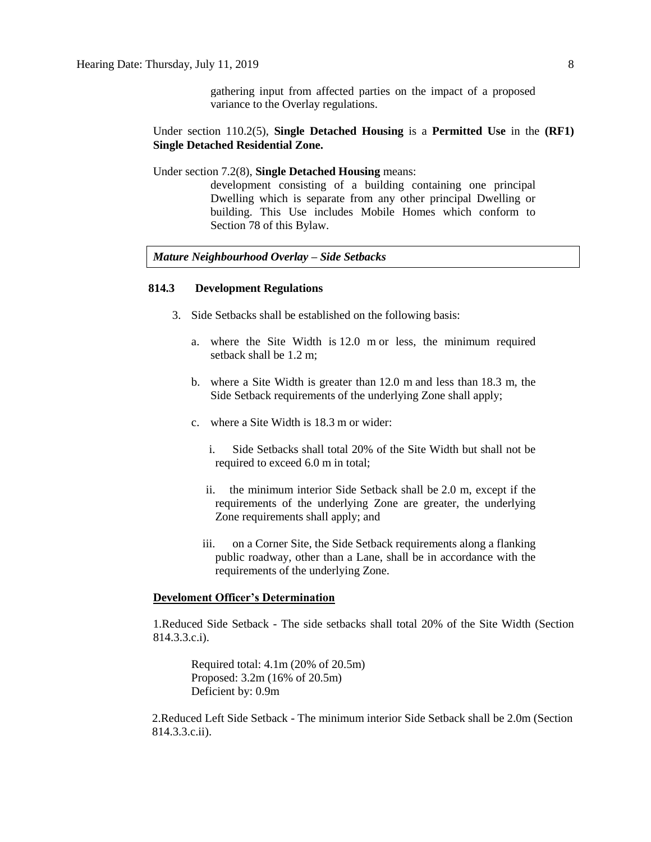gathering input from affected parties on the impact of a proposed variance to the Overlay regulations.

Under section 110.2(5), **Single Detached Housing** is a **Permitted Use** in the **(RF1) Single Detached Residential Zone.** 

Under section 7.2(8), **Single Detached Housing** means:

development consisting of a building containing one principal Dwelling which is separate from any other principal Dwelling or building. This Use includes Mobile Homes which conform to Section 78 of this Bylaw.

### *Mature Neighbourhood Overlay – Side Setbacks*

#### **814.3 Development Regulations**

- 3. Side Setbacks shall be established on the following basis:
	- a. where the Site Width is 12.0 m or less, the minimum required setback shall be 1.2 m;
	- b. where a Site Width is greater than 12.0 m and less than 18.3 m, the Side Setback requirements of the underlying Zone shall apply;
	- c. where a Site Width is 18.3 m or wider:
		- i. Side Setbacks shall total 20% of the Site Width but shall not be required to exceed 6.0 m in total;
		- ii. the minimum interior Side Setback shall be 2.0 m, except if the requirements of the underlying Zone are greater, the underlying Zone requirements shall apply; and
		- iii. on a Corner Site, the Side Setback requirements along a flanking public roadway, other than a Lane, shall be in accordance with the requirements of the underlying Zone.

#### **Develoment Officer's Determination**

1.Reduced Side Setback - The side setbacks shall total 20% of the Site Width (Section 814.3.3.c.i).

Required total: 4.1m (20% of 20.5m) Proposed: 3.2m (16% of 20.5m) Deficient by: 0.9m

2.Reduced Left Side Setback - The minimum interior Side Setback shall be 2.0m (Section 814.3.3.c.ii).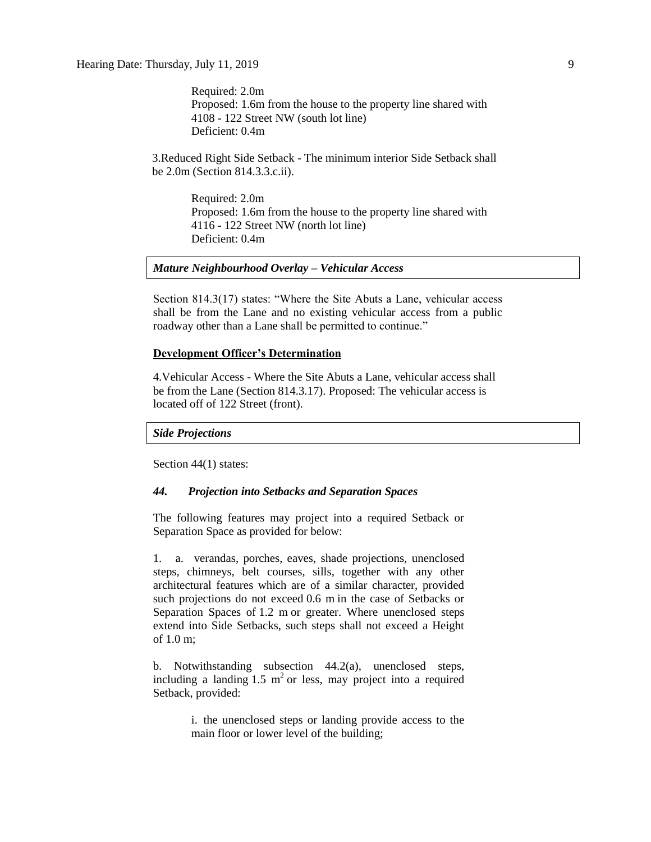Required: 2.0m Proposed: 1.6m from the house to the property line shared with 4108 - 122 Street NW (south lot line) Deficient: 0.4m

3.Reduced Right Side Setback - The minimum interior Side Setback shall be 2.0m (Section 814.3.3.c.ii).

> Required: 2.0m Proposed: 1.6m from the house to the property line shared with 4116 - 122 Street NW (north lot line) Deficient: 0.4m

#### *Mature Neighbourhood Overlay – Vehicular Access*

Section 814.3(17) states: "Where the Site Abuts a Lane, vehicular access shall be from the Lane and no existing vehicular access from a public roadway other than a Lane shall be permitted to continue."

#### **Development Officer's Determination**

4.Vehicular Access - Where the Site Abuts a Lane, vehicular access shall be from the Lane (Section 814.3.17). Proposed: The vehicular access is located off of 122 Street (front).

#### *Side Projections*

Section 44(1) states:

#### *44. Projection into Setbacks and Separation Spaces*

The following features may project into a required Setback or Separation Space as provided for below:

1. a. verandas, porches, eaves, shade projections, unenclosed steps, chimneys, belt courses, sills, together with any other architectural features which are of a similar character, provided such projections do not exceed 0.6 m in the case of Setbacks or Separation Spaces of 1.2 m or greater. Where unenclosed steps extend into Side Setbacks, such steps shall not exceed a Height of 1.0 m;

b. Notwithstanding subsection 44.2(a), unenclosed steps, including a landing  $1.5 \text{ m}^2$  or less, may project into a required Setback, provided:

> i. the unenclosed steps or landing provide access to the main floor or lower level of the building;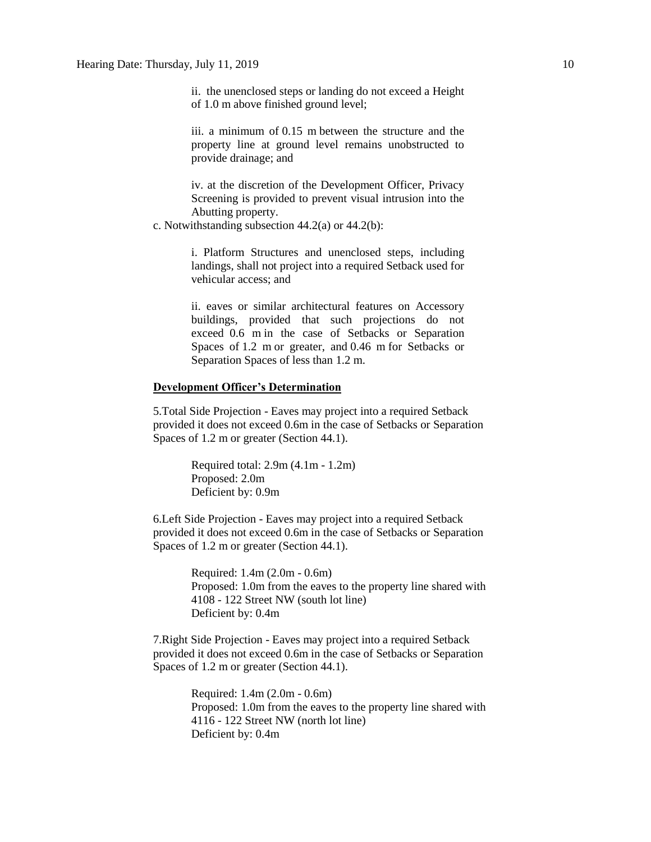ii. the unenclosed steps or landing do not exceed a Height of 1.0 m above finished ground level;

iii. a minimum of 0.15 m between the structure and the property line at ground level remains unobstructed to provide drainage; and

iv. at the discretion of the Development Officer, Privacy Screening is provided to prevent visual intrusion into the Abutting property.

c. Notwithstanding subsection 44.2(a) or 44.2(b):

i. Platform Structures and unenclosed steps, including landings, shall not project into a required Setback used for vehicular access; and

ii. eaves or similar architectural features on Accessory buildings, provided that such projections do not exceed 0.6 m in the case of Setbacks or Separation Spaces of 1.2 m or greater, and 0.46 m for Setbacks or Separation Spaces of less than 1.2 m.

#### **Development Officer's Determination**

5.Total Side Projection - Eaves may project into a required Setback provided it does not exceed 0.6m in the case of Setbacks or Separation Spaces of 1.2 m or greater (Section 44.1).

> Required total: 2.9m (4.1m - 1.2m) Proposed: 2.0m Deficient by: 0.9m

6.Left Side Projection - Eaves may project into a required Setback provided it does not exceed 0.6m in the case of Setbacks or Separation Spaces of 1.2 m or greater (Section 44.1).

> Required: 1.4m (2.0m - 0.6m) Proposed: 1.0m from the eaves to the property line shared with 4108 - 122 Street NW (south lot line) Deficient by: 0.4m

7.Right Side Projection - Eaves may project into a required Setback provided it does not exceed 0.6m in the case of Setbacks or Separation Spaces of 1.2 m or greater (Section 44.1).

> Required: 1.4m (2.0m - 0.6m) Proposed: 1.0m from the eaves to the property line shared with 4116 - 122 Street NW (north lot line) Deficient by: 0.4m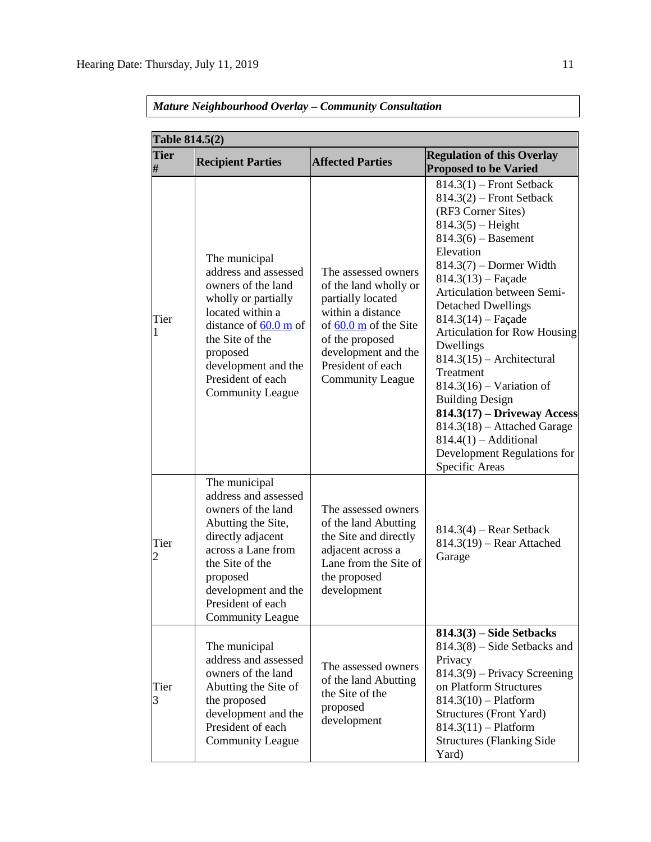| Table 814.5(2)      |                                                                                                                                                                                                                                                 |                                                                                                                                                                                                                     |                                                                                                                                                                                                                                                                                                                                                                                                                                                                                                                                                                                           |  |  |  |
|---------------------|-------------------------------------------------------------------------------------------------------------------------------------------------------------------------------------------------------------------------------------------------|---------------------------------------------------------------------------------------------------------------------------------------------------------------------------------------------------------------------|-------------------------------------------------------------------------------------------------------------------------------------------------------------------------------------------------------------------------------------------------------------------------------------------------------------------------------------------------------------------------------------------------------------------------------------------------------------------------------------------------------------------------------------------------------------------------------------------|--|--|--|
| <b>Tier</b><br>#    | <b>Recipient Parties</b>                                                                                                                                                                                                                        | <b>Affected Parties</b>                                                                                                                                                                                             | <b>Regulation of this Overlay</b><br><b>Proposed to be Varied</b>                                                                                                                                                                                                                                                                                                                                                                                                                                                                                                                         |  |  |  |
| Tier<br>$\mathbf 1$ | The municipal<br>address and assessed<br>owners of the land<br>wholly or partially<br>located within a<br>distance of $60.0 \text{ m}$ of<br>the Site of the<br>proposed<br>development and the<br>President of each<br><b>Community League</b> | The assessed owners<br>of the land wholly or<br>partially located<br>within a distance<br>of $60.0 \text{ m}$ of the Site<br>of the proposed<br>development and the<br>President of each<br><b>Community League</b> | $814.3(1)$ – Front Setback<br>$814.3(2)$ – Front Setback<br>(RF3 Corner Sites)<br>$814.3(5) - Height$<br>$814.3(6) -$ Basement<br>Elevation<br>$814.3(7)$ – Dormer Width<br>$814.3(13)$ – Façade<br>Articulation between Semi-<br><b>Detached Dwellings</b><br>$814.3(14)$ – Façade<br><b>Articulation for Row Housing</b><br>Dwellings<br>$814.3(15)$ - Architectural<br>Treatment<br>$814.3(16)$ – Variation of<br><b>Building Design</b><br>$814.3(17) - Driveway Access$<br>$814.3(18)$ – Attached Garage<br>$814.4(1)$ - Additional<br>Development Regulations for<br>Specific Areas |  |  |  |
| Tier<br>2           | The municipal<br>address and assessed<br>owners of the land<br>Abutting the Site,<br>directly adjacent<br>across a Lane from<br>the Site of the<br>proposed<br>development and the<br>President of each<br><b>Community League</b>              | The assessed owners<br>of the land Abutting<br>the Site and directly<br>adjacent across a<br>Lane from the Site of<br>the proposed<br>development                                                                   | $814.3(4)$ – Rear Setback<br>$814.3(19)$ - Rear Attached<br>Garage                                                                                                                                                                                                                                                                                                                                                                                                                                                                                                                        |  |  |  |
| Tier<br>3           | The municipal<br>address and assessed<br>owners of the land<br>Abutting the Site of<br>the proposed<br>development and the<br>President of each<br><b>Community League</b>                                                                      | The assessed owners<br>of the land Abutting<br>the Site of the<br>proposed<br>development                                                                                                                           | $814.3(3)$ – Side Setbacks<br>$814.3(8)$ – Side Setbacks and<br>Privacy<br>$814.3(9)$ – Privacy Screening<br>on Platform Structures<br>$814.3(10) -$ Platform<br><b>Structures (Front Yard)</b><br>$814.3(11) -$ Platform<br><b>Structures (Flanking Side</b><br>Yard)                                                                                                                                                                                                                                                                                                                    |  |  |  |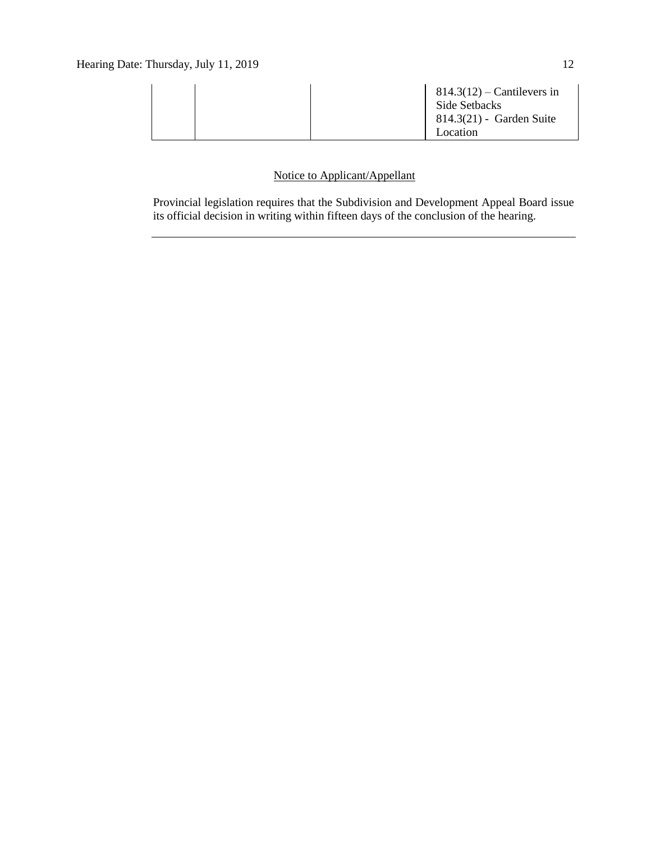| $814.3(12)$ – Cantilevers in<br>Side Setbacks<br>$814.3(21)$ - Garden Suite<br>Location |  |
|-----------------------------------------------------------------------------------------|--|
|-----------------------------------------------------------------------------------------|--|

## Notice to Applicant/Appellant

Provincial legislation requires that the Subdivision and Development Appeal Board issue its official decision in writing within fifteen days of the conclusion of the hearing.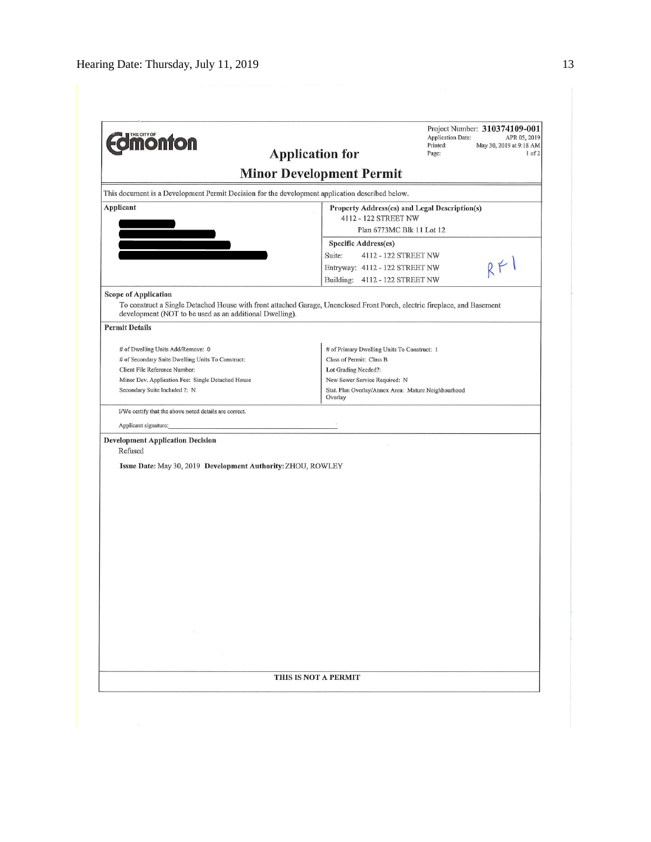| <b>Jmonton</b>                                                                                  | Project Number: 310374109-001<br><b>Application Date:</b><br>APR 05, 2019<br>Printed:<br>May 30, 2019 at 9:18 AM<br><b>Application for</b><br>Page:<br>$1$ of $2$ |  |  |  |
|-------------------------------------------------------------------------------------------------|-------------------------------------------------------------------------------------------------------------------------------------------------------------------|--|--|--|
| <b>Minor Development Permit</b>                                                                 |                                                                                                                                                                   |  |  |  |
| This document is a Development Permit Decision for the development application described below. |                                                                                                                                                                   |  |  |  |
| Applicant                                                                                       | Property Address(es) and Legal Description(s)                                                                                                                     |  |  |  |
|                                                                                                 | 4112 - 122 STREET NW                                                                                                                                              |  |  |  |
|                                                                                                 | Plan 6773MC Blk 11 Lot 12                                                                                                                                         |  |  |  |
|                                                                                                 | <b>Specific Address(es)</b>                                                                                                                                       |  |  |  |
|                                                                                                 | Suite:<br>4112 - 122 STREET NW                                                                                                                                    |  |  |  |
|                                                                                                 | Entryway: 4112 - 122 STREET NW                                                                                                                                    |  |  |  |
|                                                                                                 | Building:<br>4112 - 122 STREET NW                                                                                                                                 |  |  |  |
| <b>Scope of Application</b>                                                                     |                                                                                                                                                                   |  |  |  |
| development (NOT to be used as an additional Dwelling).                                         | To construct a Single Detached House with front attached Garage, Unenclosed Front Porch, electric fireplace, and Basement                                         |  |  |  |
| <b>Permit Details</b>                                                                           |                                                                                                                                                                   |  |  |  |
| # of Dwelling Units Add/Remove: 0                                                               | # of Primary Dwelling Units To Construct: 1                                                                                                                       |  |  |  |
| # of Secondary Suite Dwelling Units To Construct:                                               | Class of Permit: Class B                                                                                                                                          |  |  |  |
| Client File Reference Number:                                                                   | Lot Grading Needed?:                                                                                                                                              |  |  |  |
| Minor Dev. Application Fee: Single Detached House                                               | New Sewer Service Required: N                                                                                                                                     |  |  |  |
| Secondary Suite Included ?: N                                                                   | Stat. Plan Overlay/Annex Area: Mature Neighbourhood<br>Overlay                                                                                                    |  |  |  |
| I/We certify that the above noted details are correct.                                          |                                                                                                                                                                   |  |  |  |
| Applicant signature:                                                                            |                                                                                                                                                                   |  |  |  |
| <b>Development Application Decision</b>                                                         |                                                                                                                                                                   |  |  |  |
| Refused                                                                                         |                                                                                                                                                                   |  |  |  |
|                                                                                                 |                                                                                                                                                                   |  |  |  |
|                                                                                                 |                                                                                                                                                                   |  |  |  |
| Issue Date: May 30, 2019 Development Authority: ZHOU, ROWLEY                                    |                                                                                                                                                                   |  |  |  |
|                                                                                                 |                                                                                                                                                                   |  |  |  |
|                                                                                                 |                                                                                                                                                                   |  |  |  |
|                                                                                                 |                                                                                                                                                                   |  |  |  |
|                                                                                                 |                                                                                                                                                                   |  |  |  |
|                                                                                                 |                                                                                                                                                                   |  |  |  |
|                                                                                                 |                                                                                                                                                                   |  |  |  |
|                                                                                                 |                                                                                                                                                                   |  |  |  |
|                                                                                                 |                                                                                                                                                                   |  |  |  |
|                                                                                                 |                                                                                                                                                                   |  |  |  |
|                                                                                                 |                                                                                                                                                                   |  |  |  |
|                                                                                                 |                                                                                                                                                                   |  |  |  |
|                                                                                                 |                                                                                                                                                                   |  |  |  |
|                                                                                                 |                                                                                                                                                                   |  |  |  |
|                                                                                                 |                                                                                                                                                                   |  |  |  |
|                                                                                                 |                                                                                                                                                                   |  |  |  |
|                                                                                                 |                                                                                                                                                                   |  |  |  |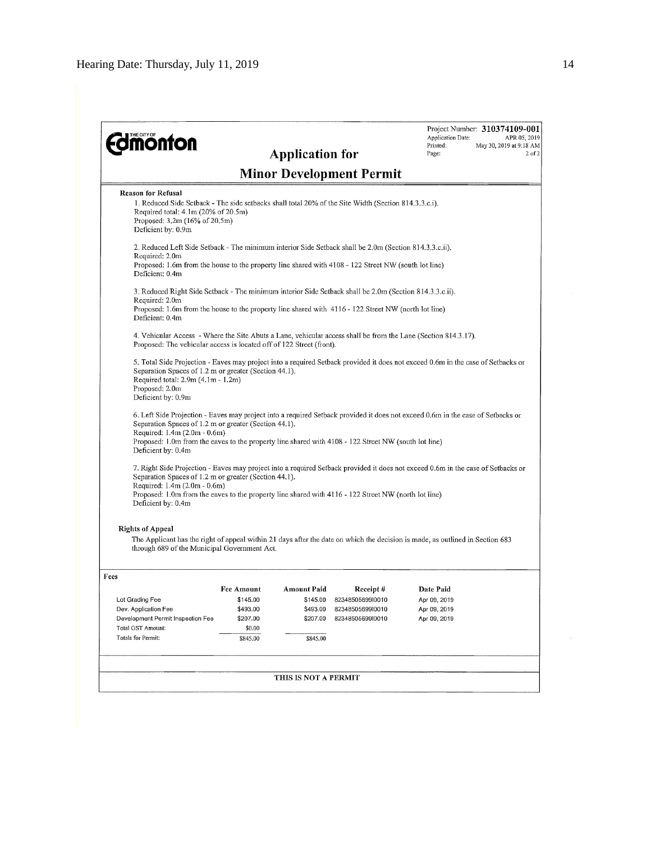| <b><i><u><b>MONTON</b></u></i></b>                                                                                                                                                                                                                                                                                                                      |                                                                                                                                                                                                                 | <b>Application for</b>                                             |                                                                      | Application Date:<br>Printed:<br>Page:                    | Project Number: 310374109-001<br>APR 05, 2019<br>May 30, 2019 at 9:18 AM<br>$2$ of $2$ |  |
|---------------------------------------------------------------------------------------------------------------------------------------------------------------------------------------------------------------------------------------------------------------------------------------------------------------------------------------------------------|-----------------------------------------------------------------------------------------------------------------------------------------------------------------------------------------------------------------|--------------------------------------------------------------------|----------------------------------------------------------------------|-----------------------------------------------------------|----------------------------------------------------------------------------------------|--|
|                                                                                                                                                                                                                                                                                                                                                         |                                                                                                                                                                                                                 |                                                                    | <b>Minor Development Permit</b>                                      |                                                           |                                                                                        |  |
| <b>Reason for Refusal</b><br>1. Reduced Side Setback - The side setbacks shall total 20% of the Site Width (Section 814.3.3.c.i).<br>Required total: 4.1m (20% of 20.5m)<br>Proposed: 3.2m (16% of 20.5m)<br>Deficient by: 0.9m                                                                                                                         |                                                                                                                                                                                                                 |                                                                    |                                                                      |                                                           |                                                                                        |  |
| 2. Reduced Left Side Setback - The minimum interior Side Setback shall be 2.0m (Section 814.3.3.c.ii).<br>Required: 2.0m<br>Proposed: 1.6m from the house to the property line shared with 4108 - 122 Street NW (south lot line)<br>Deficient: 0.4m                                                                                                     |                                                                                                                                                                                                                 |                                                                    |                                                                      |                                                           |                                                                                        |  |
| Required: 2.0m<br>Deficient: 0.4m                                                                                                                                                                                                                                                                                                                       | 3. Reduced Right Side Setback - The minimum interior Side Setback shall be 2.0m (Section 814.3.3.c.ii).<br>Proposed: 1.6m from the house to the property line shared with 4116 - 122 Street NW (north lot line) |                                                                    |                                                                      |                                                           |                                                                                        |  |
|                                                                                                                                                                                                                                                                                                                                                         | 4. Vehicular Access - Where the Site Abuts a Lane, vehicular access shall be from the Lane (Section 814.3.17).<br>Proposed: The vehicular access is located off of 122 Street (front).                          |                                                                    |                                                                      |                                                           |                                                                                        |  |
| 5. Total Side Projection - Eaves may project into a required Setback provided it does not exceed 0.6m in the case of Setbacks or<br>Separation Spaces of 1.2 m or greater (Section 44.1).<br>Required total: 2.9m (4.1m - 1.2m)<br>Proposed: 2.0m<br>Deficient by: 0.9m                                                                                 |                                                                                                                                                                                                                 |                                                                    |                                                                      |                                                           |                                                                                        |  |
| 6. Left Side Projection - Eaves may project into a required Setback provided it does not exceed 0.6m in the case of Setbacks or<br>Separation Spaces of 1.2 m or greater (Section 44.1).<br>Required: 1.4m (2.0m - 0.6m)<br>Proposed: 1.0m from the eaves to the property line shared with 4108 - 122 Street NW (south lot line)<br>Deficient by: 0.4m  |                                                                                                                                                                                                                 |                                                                    |                                                                      |                                                           |                                                                                        |  |
| 7. Right Side Projection - Eaves may project into a required Setback provided it does not exceed 0.6m in the case of Setbacks or<br>Separation Spaces of 1.2 m or greater (Section 44.1).<br>Required: 1.4m (2.0m - 0.6m)<br>Proposed: 1.0m from the eaves to the property line shared with 4116 - 122 Street NW (north lot line)<br>Deficient by: 0.4m |                                                                                                                                                                                                                 |                                                                    |                                                                      |                                                           |                                                                                        |  |
| <b>Rights of Appeal</b>                                                                                                                                                                                                                                                                                                                                 |                                                                                                                                                                                                                 |                                                                    |                                                                      |                                                           |                                                                                        |  |
| The Applicant has the right of appeal within 21 days after the date on which the decision is made, as outlined in Section 683<br>through 689 of the Municipal Government Act.                                                                                                                                                                           |                                                                                                                                                                                                                 |                                                                    |                                                                      |                                                           |                                                                                        |  |
| Fees                                                                                                                                                                                                                                                                                                                                                    |                                                                                                                                                                                                                 |                                                                    |                                                                      |                                                           |                                                                                        |  |
| Lot Grading Fee<br>Dev. Application Fee<br>Development Permit Inspection Fee<br>Total GST Amount:<br>Totals for Permit:                                                                                                                                                                                                                                 | Fee Amount<br>\$145.00<br>\$493.00<br>\$207.00<br>\$0.00<br>\$845.00                                                                                                                                            | <b>Amount Paid</b><br>\$145.00<br>\$493.00<br>\$207.00<br>\$845.00 | Receipt#<br>8234850569910010<br>8234850569910010<br>8234850569910010 | Date Paid<br>Apr 09, 2019<br>Apr 09, 2019<br>Apr 09, 2019 |                                                                                        |  |
|                                                                                                                                                                                                                                                                                                                                                         |                                                                                                                                                                                                                 | THIS IS NOT A PERMIT                                               |                                                                      |                                                           |                                                                                        |  |